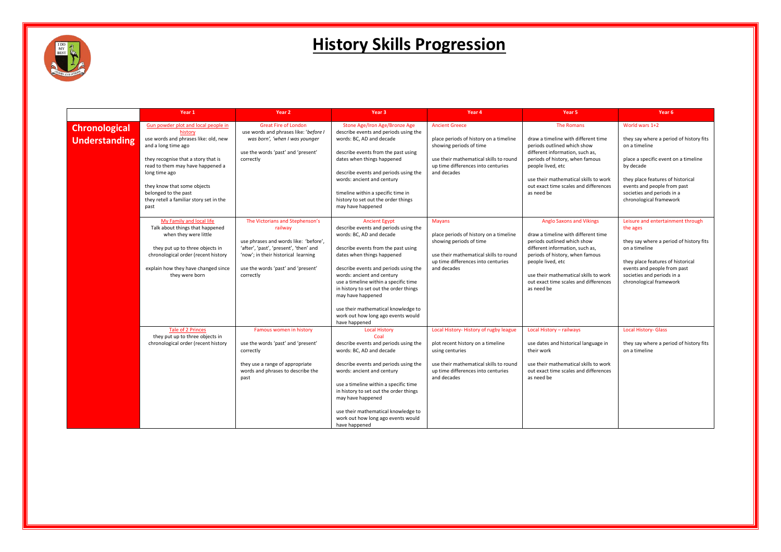

|                                              | Year 1                                                                                                                                                                                                                                                                                                              | Year <sub>2</sub>                                                                                                                                                                                                       | Year <sub>3</sub>                                                                                                                                                                                                                                                                                                                                                                                                                           | Year 4                                                                                                                                                                                       | Year 5                                                                                                                                                                                                                                                                                           | Year <sub>6</sub>                                                                                                                                                                                                                                            |
|----------------------------------------------|---------------------------------------------------------------------------------------------------------------------------------------------------------------------------------------------------------------------------------------------------------------------------------------------------------------------|-------------------------------------------------------------------------------------------------------------------------------------------------------------------------------------------------------------------------|---------------------------------------------------------------------------------------------------------------------------------------------------------------------------------------------------------------------------------------------------------------------------------------------------------------------------------------------------------------------------------------------------------------------------------------------|----------------------------------------------------------------------------------------------------------------------------------------------------------------------------------------------|--------------------------------------------------------------------------------------------------------------------------------------------------------------------------------------------------------------------------------------------------------------------------------------------------|--------------------------------------------------------------------------------------------------------------------------------------------------------------------------------------------------------------------------------------------------------------|
| <b>Chronological</b><br><b>Understanding</b> | Gun powder plot and local people in<br>history<br>use words and phrases like: old, new<br>and a long time ago<br>they recognise that a story that is<br>read to them may have happened a<br>long time ago<br>they know that some objects<br>belonged to the past<br>they retell a familiar story set in the<br>past | <b>Great Fire of London</b><br>use words and phrases like: 'before I<br>was born', 'when I was younger<br>use the words 'past' and 'present'<br>correctly                                                               | Stone Age/Iron Age/Bronze Age<br>describe events and periods using the<br>words: BC, AD and decade<br>describe events from the past using<br>dates when things happened<br>describe events and periods using the<br>words: ancient and century<br>timeline within a specific time in<br>history to set out the order things<br>may have happened                                                                                            | <b>Ancient Greece</b><br>place periods of history on a timeline<br>showing periods of time<br>use their mathematical skills to round<br>up time differences into centuries<br>and decades    | <b>The Romans</b><br>draw a timeline with different time<br>periods outlined which show<br>different information, such as,<br>periods of history, when famous<br>people lived, etc<br>use their mathematical skills to work<br>out exact time scales and differences<br>as need be               | World wars 1+2<br>they say where a period of history fits<br>on a timeline<br>place a specific event on a timeline<br>by decade<br>they place features of historical<br>events and people from past<br>societies and periods in a<br>chronological framework |
|                                              | My Family and local life<br>Talk about things that happened<br>when they were little<br>they put up to three objects in<br>chronological order (recent history<br>explain how they have changed since<br>they were born                                                                                             | The Victorians and Stephenson's<br>railway<br>use phrases and words like: 'before',<br>'after', 'past', 'present', 'then' and<br>'now'; in their historical learning<br>use the words 'past' and 'present'<br>correctly | <b>Ancient Egypt</b><br>describe events and periods using the<br>words: BC, AD and decade<br>describe events from the past using<br>dates when things happened<br>describe events and periods using the<br>words: ancient and century<br>use a timeline within a specific time<br>in history to set out the order things<br>may have happened<br>use their mathematical knowledge to<br>work out how long ago events would<br>have happened | <b>Mayans</b><br>place periods of history on a timeline<br>showing periods of time<br>use their mathematical skills to round<br>up time differences into centuries<br>and decades            | <b>Anglo Saxons and Vikings</b><br>draw a timeline with different time<br>periods outlined which show<br>different information, such as,<br>periods of history, when famous<br>people lived, etc<br>use their mathematical skills to work<br>out exact time scales and differences<br>as need be | Leisure and entertainment through<br>the ages<br>they say where a period of history fits<br>on a timeline<br>they place features of historical<br>events and people from past<br>societies and periods in a<br>chronological framework                       |
|                                              | <b>Tale of 2 Princes</b><br>they put up to three objects in<br>chronological order (recent history                                                                                                                                                                                                                  | Famous women in history<br>use the words 'past' and 'present'<br>correctly<br>they use a range of appropriate<br>words and phrases to describe the<br>past                                                              | <b>Local History</b><br>Coal<br>describe events and periods using the<br>words: BC, AD and decade<br>describe events and periods using the<br>words: ancient and century<br>use a timeline within a specific time<br>in history to set out the order things<br>may have happened<br>use their mathematical knowledge to<br>work out how long ago events would<br>have happened                                                              | Local History-History of rugby league<br>plot recent history on a timeline<br>using centuries<br>use their mathematical skills to round<br>up time differences into centuries<br>and decades | Local History - railways<br>use dates and historical language in<br>their work<br>use their mathematical skills to work<br>out exact time scales and differences<br>as need be                                                                                                                   | <b>Local History- Glass</b><br>they say where a period of history fits<br>on a timeline                                                                                                                                                                      |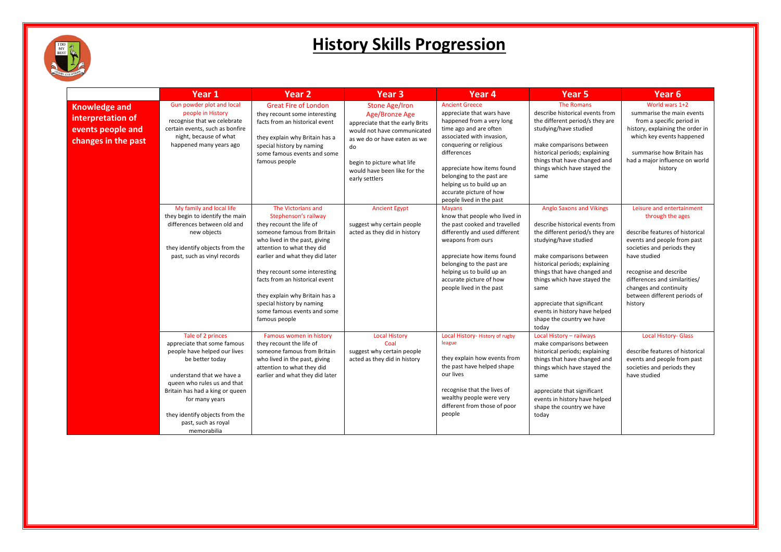

|                                                                                       | Year 1                                                                                                                                                                                                                                                                                       | Year <sub>2</sub>                                                                                                                                                                                                                                                                                                                                                                         | Year <sub>3</sub>                                                                                                                                                                                                               | Year 4                                                                                                                                                                                                                                                                                                                          | Year <sub>5</sub>                                                                                                                                                                                                                                                                                                                                                          | Year 6                                                                                                                                                                                                                                                                                        |
|---------------------------------------------------------------------------------------|----------------------------------------------------------------------------------------------------------------------------------------------------------------------------------------------------------------------------------------------------------------------------------------------|-------------------------------------------------------------------------------------------------------------------------------------------------------------------------------------------------------------------------------------------------------------------------------------------------------------------------------------------------------------------------------------------|---------------------------------------------------------------------------------------------------------------------------------------------------------------------------------------------------------------------------------|---------------------------------------------------------------------------------------------------------------------------------------------------------------------------------------------------------------------------------------------------------------------------------------------------------------------------------|----------------------------------------------------------------------------------------------------------------------------------------------------------------------------------------------------------------------------------------------------------------------------------------------------------------------------------------------------------------------------|-----------------------------------------------------------------------------------------------------------------------------------------------------------------------------------------------------------------------------------------------------------------------------------------------|
| <b>Knowledge and</b><br>interpretation of<br>events people and<br>changes in the past | Gun powder plot and local<br>people in History<br>recognise that we celebrate<br>certain events, such as bonfire<br>night, because of what<br>happened many years ago                                                                                                                        | <b>Great Fire of London</b><br>they recount some interesting<br>facts from an historical event<br>they explain why Britain has a<br>special history by naming<br>some famous events and some<br>famous people                                                                                                                                                                             | <b>Stone Age/Iron</b><br>Age/Bronze Age<br>appreciate that the early Brits<br>would not have communicated<br>as we do or have eaten as we<br>do<br>begin to picture what life<br>would have been like for the<br>early settlers | <b>Ancient Greece</b><br>appreciate that wars have<br>happened from a very long<br>time ago and are often<br>associated with invasion,<br>conquering or religious<br>differences<br>appreciate how items found<br>belonging to the past are<br>helping us to build up an<br>accurate picture of how<br>people lived in the past | The Romans<br>describe historical events from<br>the different period/s they are<br>studying/have studied<br>make comparisons between<br>historical periods; explaining<br>things that have changed and<br>things which have stayed the<br>same                                                                                                                            | World wars 1+2<br>summarise the main events<br>from a specific period in<br>history, explaining the order in<br>which key events happened<br>summarise how Britain has<br>had a major influence on world<br>history                                                                           |
|                                                                                       | My family and local life<br>they begin to identify the main<br>differences between old and<br>new objects<br>they identify objects from the<br>past, such as vinyl records                                                                                                                   | The Victorians and<br>Stephenson's railway<br>they recount the life of<br>someone famous from Britain<br>who lived in the past, giving<br>attention to what they did<br>earlier and what they did later<br>they recount some interesting<br>facts from an historical event<br>they explain why Britain has a<br>special history by naming<br>some famous events and some<br>famous people | <b>Ancient Egypt</b><br>suggest why certain people<br>acted as they did in history                                                                                                                                              | <b>Mayans</b><br>know that people who lived in<br>the past cooked and travelled<br>differently and used different<br>weapons from ours<br>appreciate how items found<br>belonging to the past are<br>helping us to build up an<br>accurate picture of how<br>people lived in the past                                           | <b>Anglo Saxons and Vikings</b><br>describe historical events from<br>the different period/s they are<br>studying/have studied<br>make comparisons between<br>historical periods; explaining<br>things that have changed and<br>things which have stayed the<br>same<br>appreciate that significant<br>events in history have helped<br>shape the country we have<br>today | Leisure and entertainment<br>through the ages<br>describe features of historical<br>events and people from past<br>societies and periods they<br>have studied<br>recognise and describe<br>differences and similarities/<br>changes and continuity<br>between different periods of<br>history |
|                                                                                       | Tale of 2 princes<br>appreciate that some famous<br>people have helped our lives<br>be better today<br>understand that we have a<br>queen who rules us and that<br>Britain has had a king or queen<br>for many years<br>they identify objects from the<br>past, such as royal<br>memorabilia | Famous women in history<br>they recount the life of<br>someone famous from Britain<br>who lived in the past, giving<br>attention to what they did<br>earlier and what they did later                                                                                                                                                                                                      | <b>Local History</b><br>Coal<br>suggest why certain people<br>acted as they did in history                                                                                                                                      | Local History- History of rugby<br>league<br>they explain how events from<br>the past have helped shape<br>our lives<br>recognise that the lives of<br>wealthy people were very<br>different from those of poor<br>people                                                                                                       | Local History - railways<br>make comparisons between<br>historical periods; explaining<br>things that have changed and<br>things which have stayed the<br>same<br>appreciate that significant<br>events in history have helped<br>shape the country we have<br>today                                                                                                       | <b>Local History- Glass</b><br>describe features of historical<br>events and people from past<br>societies and periods they<br>have studied                                                                                                                                                   |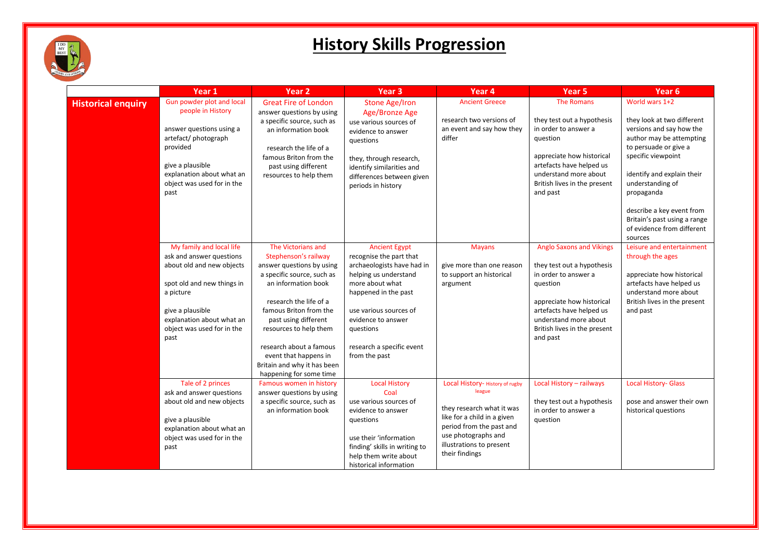

|                           | Year 1                                                                                                                                                                                                              | Year <sub>2</sub>                                                                                                                                                                                                                                                                                                                                | Year <sub>3</sub>                                                                                                                                                                                                                                            | Year 4                                                                                                                                                                                                 | Year <sub>5</sub>                                                                                                                                                                                                               | Year <sub>6</sub>                                                                                                                                                                                                   |
|---------------------------|---------------------------------------------------------------------------------------------------------------------------------------------------------------------------------------------------------------------|--------------------------------------------------------------------------------------------------------------------------------------------------------------------------------------------------------------------------------------------------------------------------------------------------------------------------------------------------|--------------------------------------------------------------------------------------------------------------------------------------------------------------------------------------------------------------------------------------------------------------|--------------------------------------------------------------------------------------------------------------------------------------------------------------------------------------------------------|---------------------------------------------------------------------------------------------------------------------------------------------------------------------------------------------------------------------------------|---------------------------------------------------------------------------------------------------------------------------------------------------------------------------------------------------------------------|
| <b>Historical enquiry</b> | Gun powder plot and local<br>people in History<br>answer questions using a<br>artefact/photograph<br>provided<br>give a plausible<br>explanation about what an<br>object was used for in the<br>past                | <b>Great Fire of London</b><br>answer questions by using<br>a specific source, such as<br>an information book<br>research the life of a<br>famous Briton from the<br>past using different<br>resources to help them                                                                                                                              | <b>Stone Age/Iron</b><br>Age/Bronze Age<br>use various sources of<br>evidence to answer<br>questions<br>they, through research,<br>identify similarities and<br>differences between given<br>periods in history                                              | <b>Ancient Greece</b><br>research two versions of<br>an event and say how they<br>differ                                                                                                               | <b>The Romans</b><br>they test out a hypothesis<br>in order to answer a<br>question<br>appreciate how historical<br>artefacts have helped us<br>understand more about<br>British lives in the present<br>and past               | World wars 1+2<br>they look at two different<br>versions and say how the<br>author may be attempting<br>to persuade or give a<br>specific viewpoint<br>identify and explain their<br>understanding of<br>propaganda |
|                           |                                                                                                                                                                                                                     |                                                                                                                                                                                                                                                                                                                                                  |                                                                                                                                                                                                                                                              |                                                                                                                                                                                                        |                                                                                                                                                                                                                                 | describe a key event from<br>Britain's past using a range<br>of evidence from different<br>sources                                                                                                                  |
|                           | My family and local life<br>ask and answer questions<br>about old and new objects<br>spot old and new things in<br>a picture<br>give a plausible<br>explanation about what an<br>object was used for in the<br>past | The Victorians and<br>Stephenson's railway<br>answer questions by using<br>a specific source, such as<br>an information book<br>research the life of a<br>famous Briton from the<br>past using different<br>resources to help them<br>research about a famous<br>event that happens in<br>Britain and why it has been<br>happening for some time | <b>Ancient Egypt</b><br>recognise the part that<br>archaeologists have had in<br>helping us understand<br>more about what<br>happened in the past<br>use various sources of<br>evidence to answer<br>questions<br>research a specific event<br>from the past | <b>Mayans</b><br>give more than one reason<br>to support an historical<br>argument                                                                                                                     | <b>Anglo Saxons and Vikings</b><br>they test out a hypothesis<br>in order to answer a<br>question<br>appreciate how historical<br>artefacts have helped us<br>understand more about<br>British lives in the present<br>and past | Leisure and entertainment<br>through the ages<br>appreciate how historical<br>artefacts have helped us<br>understand more about<br>British lives in the present<br>and past                                         |
|                           | Tale of 2 princes<br>ask and answer questions<br>about old and new objects<br>give a plausible<br>explanation about what an<br>object was used for in the<br>past                                                   | Famous women in history<br>answer questions by using<br>a specific source, such as<br>an information book                                                                                                                                                                                                                                        | <b>Local History</b><br>Coal<br>use various sources of<br>evidence to answer<br>questions<br>use their 'information<br>finding' skills in writing to<br>help them write about<br>historical information                                                      | Local History- History of rugby<br>league<br>they research what it was<br>like for a child in a given<br>period from the past and<br>use photographs and<br>illustrations to present<br>their findings | Local History - railways<br>they test out a hypothesis<br>in order to answer a<br>question                                                                                                                                      | <b>Local History- Glass</b><br>pose and answer their own<br>historical questions                                                                                                                                    |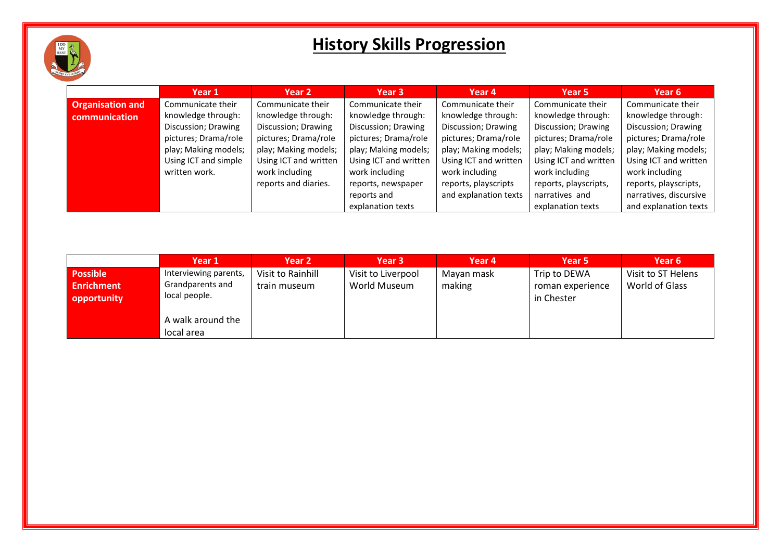

|                         | Year 1               | Year 2                | Year 3                | Year 4                | Year 5                | Year 6                 |
|-------------------------|----------------------|-----------------------|-----------------------|-----------------------|-----------------------|------------------------|
| <b>Organisation and</b> | Communicate their    | Communicate their     | Communicate their     | Communicate their     | Communicate their     | Communicate their      |
| communication           | knowledge through:   | knowledge through:    | knowledge through:    | knowledge through:    | knowledge through:    | knowledge through:     |
|                         | Discussion; Drawing  | Discussion; Drawing   | Discussion; Drawing   | Discussion; Drawing   | Discussion; Drawing   | Discussion; Drawing    |
|                         | pictures; Drama/role | pictures; Drama/role  | pictures; Drama/role  | pictures; Drama/role  | pictures; Drama/role  | pictures; Drama/role   |
|                         | play; Making models; | play; Making models;  | play; Making models;  | play; Making models;  | play; Making models;  | play; Making models;   |
|                         | Using ICT and simple | Using ICT and written | Using ICT and written | Using ICT and written | Using ICT and written | Using ICT and written  |
|                         | written work.        | work including        | work including        | work including        | work including        | work including         |
|                         |                      | reports and diaries.  | reports, newspaper    | reports, playscripts  | reports, playscripts, | reports, playscripts,  |
|                         |                      |                       | reports and           | and explanation texts | narratives and        | narratives, discursive |
|                         |                      |                       | explanation texts     |                       | explanation texts     | and explanation texts  |

|                                                     | Year 1                                                     | Year <sub>2</sub>                 | Year 3                             | Year 4               | Year 5                                         | Year 6                               |
|-----------------------------------------------------|------------------------------------------------------------|-----------------------------------|------------------------------------|----------------------|------------------------------------------------|--------------------------------------|
| <b>Possible</b><br><b>Enrichment</b><br>opportunity | Interviewing parents,<br>Grandparents and<br>local people. | Visit to Rainhill<br>train museum | Visit to Liverpool<br>World Museum | Mayan mask<br>making | Trip to DEWA<br>roman experience<br>in Chester | Visit to ST Helens<br>World of Glass |
|                                                     | A walk around the<br>local area                            |                                   |                                    |                      |                                                |                                      |